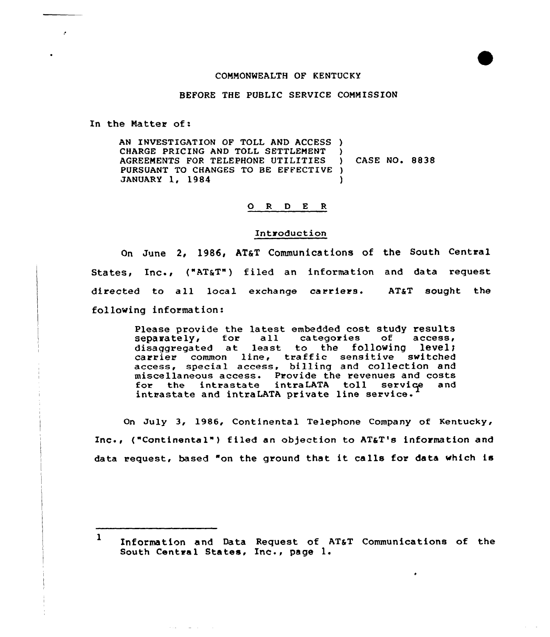# COMMONWEALTH OF KENTUCKY

# BEFORE THE PUBLIC SERVICE COMMISSION

In the Natter of:

AN INVESTIGATION OF TOLL AND ACCESS ) CHARGE PRICING AND TOLL SETTLEMENT AGREEMENTS FOR TELEPHONE UTILITIES PURSUANT TO CHANGES TO BE EFFECTIVE ) JANUARY 1, 1984 ) CASE NQ. 8838  $\lambda$ 

## 0 <sup>R</sup> <sup>D</sup> E <sup>R</sup>

#### Introduction

On June 2, 1986, AT&T Communications of the South Central States, Inc., ("AT&T") filed an information and data reques directed to all local exchange carriers.  $AT&T$  sought the following infoxmation:

> Please provide the latest embedded cost study results<br>separately, for all categories of access, categories of access, disaggregated at least to the following level; disaggregated at least to the forlowing level access, special access, billing and collection and miscellaneous access. Provide the revenues and costs<br>for the intrastate intraLATA toll service and the intrastate intraLATA toll service intrastate and intraLATA private line service.

On July 3, 1986, Continental Telephone Company of Kentucky, Inc., ("Continental") filed an objection to AT&T's information and data request, based "on the ground that it calls for data which is

<sup>1</sup> Information and Data Request of AT&T Communications of the south Central States, Inc., page 1.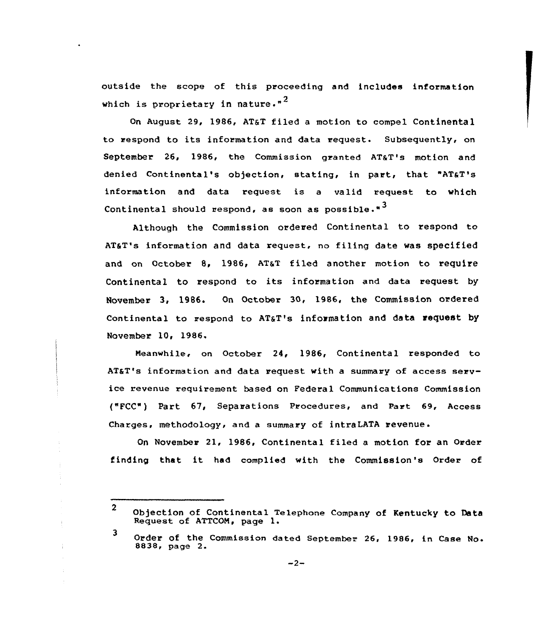outside the scope of this proceeding and includes information which is proprietary in nature. $"$ <sup>2</sup>

On August 29, 1986, AT&T filed a motion to compel Contine<mark>nt</mark>a to respond to its information and data request. Subsequently, on September 26, 1986, the Commission granted AT&T's motion and denied Continental's objection, stating, in part, that "AT&T's information and data request is <sup>a</sup> valid request to which Continental should respond, as soon as possible." $3$ 

Although the Commission ordered Continental to respond to AT&T's information and data request, no filing date was specified and on October 8, 1986, AT&T filed another motion to require Continental to respond to its information and data request by<br>November 3, 1986. On October 30, 1986, the Commission ordered Continental to respond to AT&T's information and data request by November 10, 1986.

Meanwhile, on October 24, 1986, Continental responded to ATaT's information and data request with a summary of access service revenue requirement based on Federal Communications Commission ("FCC" ) Part 67'eparations Procedures, and Part 69, Access Charges, methodology, and a summary of intraLATA revenue.

On November 21, 1986, Continental filed a motion for an Order finding that it had complied with the Commission's Order of

 $\mathbf{2}$ Objection of Continental Telephone Company of Kentucky to Data Request of ATTCOM, page 1.

<sup>3</sup> Order of the Commission dated September 26, 1986, in Case No.<br>8838, page 2.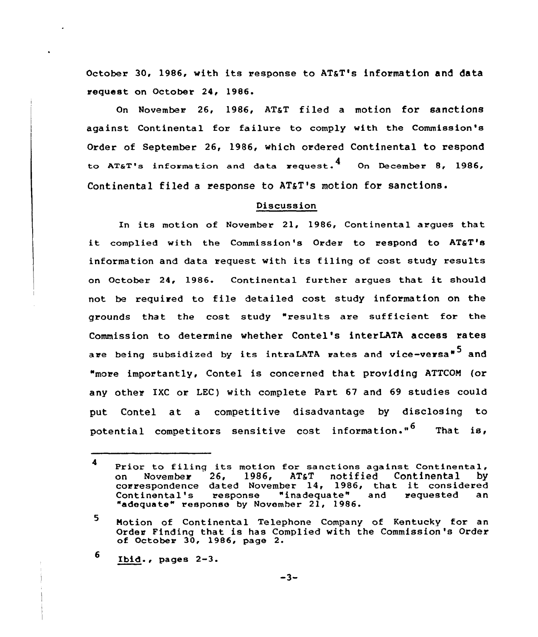October 30, 1986, with its response to AT&T's information and data request on October 24, 1986.

On November 26, 1986, AT&T filed a motion for sanctions against Continental for failure to comply with the Commission's Order of September 26, 1986, which ordered Continental to respond to AT&T's information and data request.<sup>4</sup> On December 8, 1986, Continental filed a response to AT&T's motion for sanctions.

## Discussion

In its motion of November 21, 1986, Continental argues that it complied with the Commission's Order to respond to AT&T's information and data request with its filing of cost study results on October 24, 1986. Continental further argues that it should not be required to file detailed cost study information on the grounds that the cost study "results are sufficient for the Commission to determine whether Contel's interLATA access rates are being subsidized by its intraLATA rates and vice-versa<sup>\*</sup> and "more importantly, Contel is concerned that providing ATTCOM (or any other IXC or LEC) with complete Part 67 and 69 studies could put Contel at a competitive disadvantage by disclosing to potential competitors sensitive cost information."<sup>6</sup> That is,

6 Ibid., pages  $2-3$ .

<sup>4</sup> Prior to filing its motion for sanctions against Continental,<br>on November 26, 1986, AT&T notified Continental by 1986, AT&T notified Continental correspondence dated November 14, 1986, that it considered<br>Continental's response "inadequate" and requested an response "inadequate" and "adequate" response by November 21, 1986.

<sup>5.</sup> Notion of Continental Telephone Company of Kentucky for an Order Finding that is has Complied with the Commission's Order of October 30, 1986, page 2.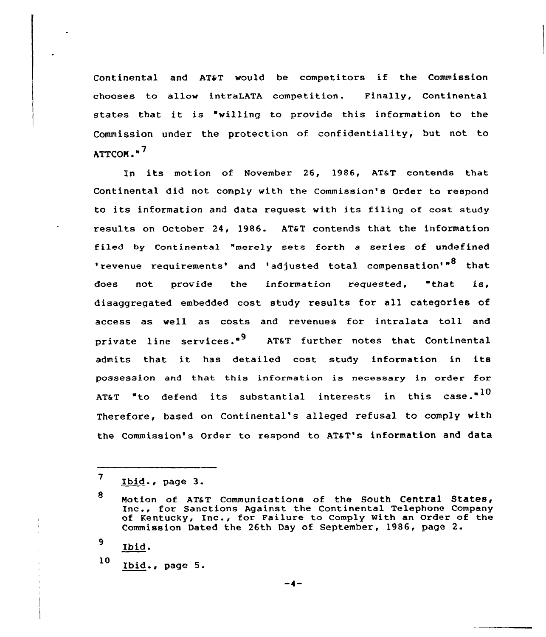Continental and AT&T would be competitors if the Commission chooses to allow intraLATA competition. Finally, Continental states that it is "willing to provide this information to the Commission under the protection of confidentiality, but not to  $ATTCOM.$ "<sup>7</sup>

In its motion af November 26, 1986, AT&T contends that Continental did not comply with the commission's Order to respond to its information and data request with its filing of cost study results on October 24, 1986. AT&T contends that the information filed by Continental "merely sets forth a series of undefined 'revenue requirements' and 'adjusted total compensation'"<sup>8</sup> that does not provide the information requested, "that is, disaggregated embedded cast study results for all categories of access as well as costs and revenues for intralata toll and private line services."<sup>9</sup> AT&T further notes that Continental admits that it has detailed cost study information in its possession and that this information is necessary in order for AT&T "to defend its substantial interests in this case."<sup>10</sup> Therefore, based on Continental's alleged refusal to comply with the Commission's Order to respond to AT&T's information and data

9 Ibid.

<sup>10</sup> Ibid., page 5.

<sup>7</sup> Ibid., page  $3$ .

<sup>8</sup> Motion of AT&T Communications of the South Central States,<br>Inc., for Sanctions Against the Continental Telephone Company of Kentucky, Inc., for Failure to Comply With an Order of the Commission Dated the 26th Day of September, 1986, page 2.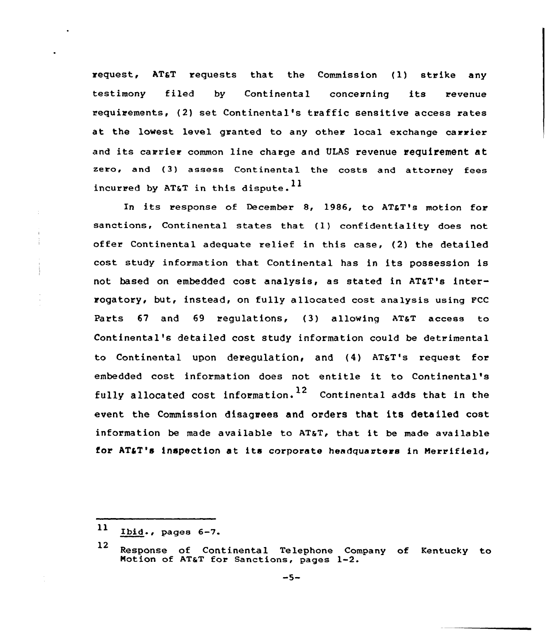request, AT&T requests that the Commission (1) strike any testimony filed by Continental concerning its revenue requirements, {2) set Continental's traffic sensitive access rates at the lowest level granted to any other local exchange carrier and its carrier common line charge and ULAS revenue requirement at zero, and (3) assess Continental the costs and attorney fees incurred by AT&T in this dispute.<sup>11</sup>

In its response of December 8, 1986, to AT&T's motion for sanctions, Continental states that {1) confidentiality does not offer Continental adequate relief in this case, (2) the detailed cost study information that Continental has in its possession is not based on embedded cost analysis, as stated in AT&T's interrogatory, but, instead, on fully allocated cost analysis using FCC Parts  $67$  and  $69$  requlations,  $(3)$  allowing AT&T access to Continental's detailed cost study information cauld be detrimental to Continental upon deregulation, and (4) AT&T's request for embedded cost information does not entitle it to Continental's fully allocated cost information.<sup>12</sup> Continental adds that in the event the Commission disagrees and orders that its detailed cost information be made available to AT&T, that it be made available for AT&T's inspection at its corporate headquarters in Merrifield,

 $11$  Ibid., pages  $6-7$ .

<sup>12</sup> Response of Continental Telephone Company of Kentucky to Motion of AT&T for Sanctions, pages 1-2.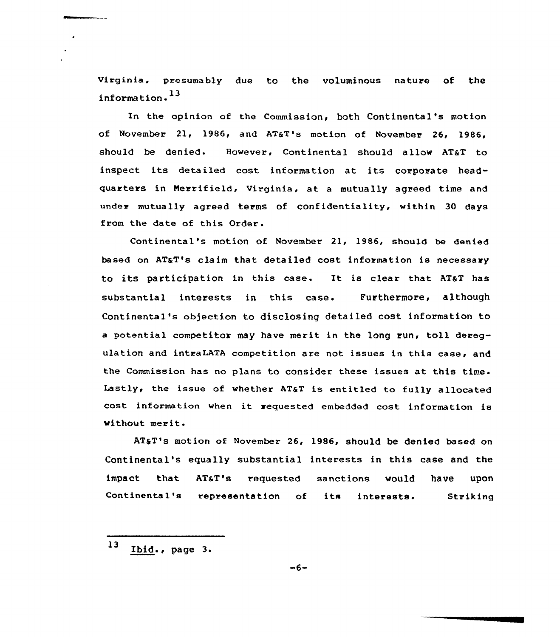virginia, presumably due to the voluminous nature of the information. 13

In the opinion of the Commission, both Continental's motion of November 21, 1986, and AT&T's motion of November 26, 1986, should be denied. However, Continental should allow AT&T to inspect its detailed cost information at its corporate headquarters in Nerrifield, Virginia, at a mutually agreed time and under mutually agreed terms of confidentiality, within 30 days from the date of this Order.

Continental's motion of November 21, 1986, should be denied based on AT&T's claim that detailed cost information is necessary to its participation in this case. It is clear that AT&T has substantial interests in this case. Furthermore, although Continental's objection to disclosing detailed cost information to a potential competitor may have merit in the long run, toll deregulation and intraLATA competition are not issues in this case, and the Commission has no plans to consider these issues at this time. Lastly, the issue of whether AT&T is entitled to fully allocated cost information when it requested embedded cost information is without merit

AT&T's motion of November 26, 1986, should be denied based on Continental's equally substantial interests in this case and the impact that AT&T's requested sanctions would have upon Continental's representation of its interests. Striking

 $13$  Ibid., page 3.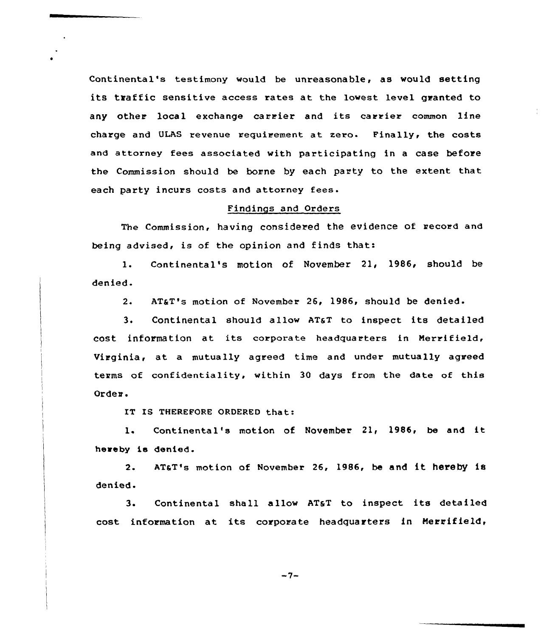Continental's testimony would be unreasonable, as would setting its traffic sensitive access rates at the lowest level granted to any other local exchange carrier and its carrier common line charge and ULAS revenue requirement at zero. Finally< the costs and attorney fees associated with participating in a case before the Commission should be borne by each party to the extent that each party incurs costs and attorney fees.

# Findings and Orders

The commission, having considered the evidence of record and being advised, is of the opinion and finds that:

1. Continental's motion of November 21, 1986, should be denied.

2. AT&T's motion of November 26, 1986, should be denied.

 $3.$ Continental should allow AT&T to inspect its detailed cost information at its corporate headquarters in Nerrifield, Virginia, at a mutually agreed time and under mutually agreed terms of confidentiality, within 30 days from the date of this Order.

IT IS THEREFORE ORDERED that:

1. Continental's motion of November 21, 1986, be and it hereby ie denied.

2. AT&T's motion of November 26, 1986, be and it hereby is denied.

3. Continental shall allow AT&T to inspect its detailed cost information at its corporate headquarters in Herrifield,